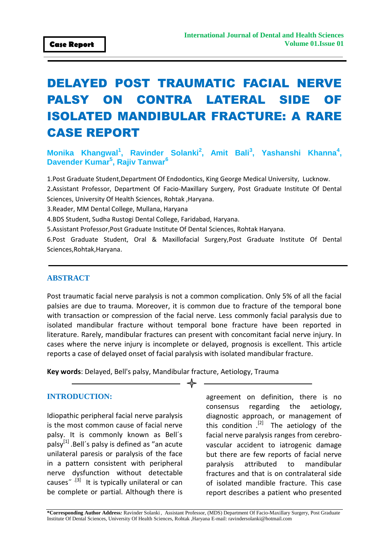# DELAYED POST TRAUMATIC FACIAL NERVE PALSY ON CONTRA LATERAL SIDE OF ISOLATED MANDIBULAR FRACTURE: A RARE CASE REPORT

## **Monika Khangwal<sup>1</sup>, Ravinder Solanki<sup>2</sup>, Amit Bali<sup>3</sup>, Yashanshi Khanna<sup>4</sup>, Davender Kumar<sup>5</sup> , Rajiv Tanwar<sup>6</sup>**

1.Post Graduate Student,Department Of Endodontics, King George Medical University, Lucknow.

2.Assistant Professor, Department Of Facio-Maxillary Surgery, Post Graduate Institute Of Dental Sciences, University Of Health Sciences, Rohtak ,Haryana.

3.Reader, MM Dental College, Mullana, Haryana

4.BDS Student, Sudha Rustogi Dental College, Faridabad, Haryana.

5.Assistant Professor,Post Graduate Institute Of Dental Sciences, Rohtak Haryana.

6.Post Graduate Student, Oral & Maxillofacial Surgery,Post Graduate Institute Of Dental Sciences,Rohtak,Haryana.

#### **ABSTRACT**

Post traumatic facial nerve paralysis is not a common complication. Only 5% of all the facial palsies are due to trauma. Moreover, it is common due to fracture of the temporal bone with transaction or compression of the facial nerve. Less commonly facial paralysis due to isolated mandibular fracture without temporal bone fracture have been reported in literature. Rarely, mandibular fractures can present with concomitant facial nerve injury. In cases where the nerve injury is incomplete or delayed, prognosis is excellent. This article reports a case of delayed onset of facial paralysis with isolated mandibular fracture.

**Key words**: Delayed, Bell's palsy, Mandibular fracture, Aetiology, Trauma

#### **INTRODUCTION:**

Idiopathic peripheral facial nerve paralysis is the most common cause of facial nerve palsy. It is commonly known as Bell´s palsy<sup>[1]</sup> .Bell's palsy is defined as "an acute unilateral paresis or paralysis of the face in a pattern consistent with peripheral nerve dysfunction without detectable causes<sup>" [3]</sup> It is typically unilateral or can be complete or partial. Although there is

agreement on definition, there is no consensus regarding the aetiology, diagnostic approach, or management of this condition . [2] The aetiology of the facial nerve paralysis ranges from cerebrovascular accident to iatrogenic damage but there are few reports of facial nerve paralysis attributed to mandibular fractures and that is on contralateral side of isolated mandible fracture. This case report describes a patient who presented

**\*Corresponding Author Address***:* Ravinder Solanki , Assistant Professor, (MDS) Department Of Facio-Maxillary Surgery, Post Graduate Institute Of Dental Sciences, University Of Health Sciences, Rohtak ,Haryana E-mail: ravindersolanki@hotmail.com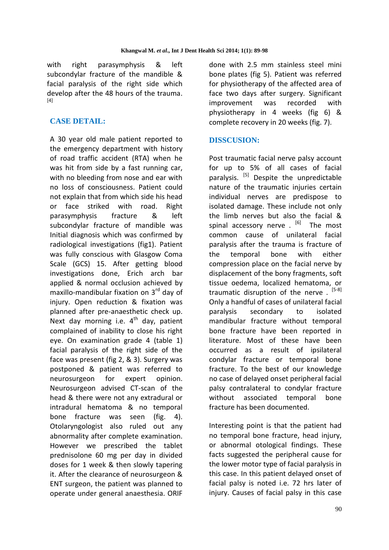with right parasymphysis & left subcondylar fracture of the mandible & facial paralysis of the right side which develop after the 48 hours of the trauma. [4]

# **CASE DETAIL:**

A 30 year old male patient reported to the emergency department with history of road traffic accident (RTA) when he was hit from side by a fast running car, with no bleeding from nose and ear with no loss of consciousness. Patient could not explain that from which side his head or face striked with road. Right parasymphysis fracture & left subcondylar fracture of mandible was Initial diagnosis which was confirmed by radiological investigations (fig1). Patient was fully conscious with Glasgow Coma Scale (GCS) 15. After getting blood investigations done, Erich arch bar applied & normal occlusion achieved by maxillo-mandibular fixation on 3<sup>rd</sup> day of injury. Open reduction & fixation was planned after pre-anaesthetic check up. Next day morning i.e.  $4^{th}$  day, patient complained of inability to close his right eye. On examination grade 4 (table 1) facial paralysis of the right side of the face was present (fig 2, & 3). Surgery was postponed & patient was referred to neurosurgeon for expert opinion. Neurosurgeon advised CT-scan of the head & there were not any extradural or intradural hematoma & no temporal bone fracture was seen (fig. 4). Otolaryngologist also ruled out any abnormality after complete examination. However we prescribed the tablet prednisolone 60 mg per day in divided doses for 1 week & then slowly tapering it. After the clearance of neurosurgeon & ENT surgeon, the patient was planned to operate under general anaesthesia. ORIF

done with 2.5 mm stainless steel mini bone plates (fig 5). Patient was referred for physiotherapy of the affected area of face two days after surgery. Significant improvement was recorded with physiotherapy in 4 weeks (fig 6) & complete recovery in 20 weeks (fig. 7).

## **DISSCUSION:**

Post traumatic facial nerve palsy account for up to 5% of all cases of facial paralysis. <sup>[5]</sup> Despite the unpredictable nature of the traumatic injuries certain individual nerves are predispose to isolated damage. These include not only the limb nerves but also the facial & spinal accessory nerve . <sup>[6]</sup> The most common cause of unilateral facial paralysis after the trauma is fracture of the temporal bone with either compression place on the facial nerve by displacement of the bony fragments, soft tissue oedema, localized hematoma, or traumatic disruption of the nerve . <sup>[5-8]</sup> Only a handful of cases of unilateral facial paralysis secondary to isolated mandibular fracture without temporal bone fracture have been reported in literature. Most of these have been occurred as a result of ipsilateral condylar fracture or temporal bone fracture. To the best of our knowledge no case of delayed onset peripheral facial palsy contralateral to condylar fracture without associated temporal bone fracture has been documented.

Interesting point is that the patient had no temporal bone fracture, head injury, or abnormal otological findings. These facts suggested the peripheral cause for the lower motor type of facial paralysis in this case. In this patient delayed onset of facial palsy is noted i.e. 72 hrs later of injury. Causes of facial palsy in this case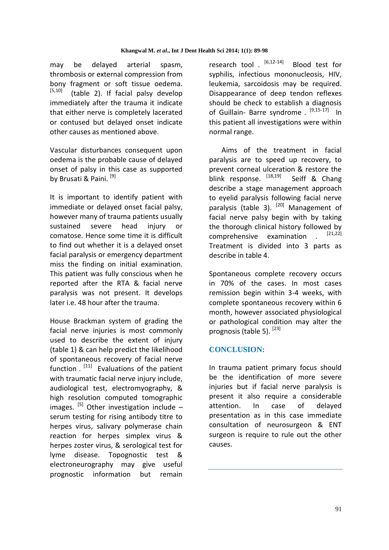may be delayed arterial spasm, thrombosis or external compression from bony fragment or soft tissue oedema. [5,10] (table 2). If facial palsy develop immediately after the trauma it indicate that either nerve is completely lacerated or contused but delayed onset indicate other causes as mentioned above.

Vascular disturbances consequent upon oedema is the probable cause of delayed onset of palsy in this case as supported by Brusati & Paini.<sup>[9]</sup>

It is important to identify patient with immediate or delayed onset facial palsy, however many of trauma patients usually sustained severe head injury or comatose. Hence some time it is difficult to find out whether it is a delayed onset facial paralysis or emergency department miss the finding on initial examination. This patient was fully conscious when he reported after the RTA & facial nerve paralysis was not present. It develops later i.e. 48 hour after the trauma.

House Brackman system of grading the facial nerve injuries is most commonly used to describe the extent of injury (table 1) & can help predict the likelihood of spontaneous recovery of facial nerve function . <sup>[11]</sup> Evaluations of the patient with traumatic facial nerve injury include, audiological test, electromyography, & high resolution computed tomographic images.  $[5]$  Other investigation include – serum testing for rising antibody titre to herpes virus, salivary polymerase chain reaction for herpes simplex virus & herpes zoster virus, & serological test for lyme disease. Topognostic test & electroneurography may give useful prognostic information but remain

research tool . [6,12-14] Blood test for syphilis, infectious mononucleosis, HIV, leukemia, sarcoidosis may be required. Disappearance of deep tendon reflexes should be check to establish a diagnosis of Guillain- Barre syndrome . <sup>[9,15-17]</sup> In this patient all investigations were within normal range.

 Aims of the treatment in facial paralysis are to speed up recovery, to prevent corneal ulceration & restore the blink response. [18,19] Seiff & Chang describe a stage management approach to eyelid paralysis following facial nerve paralysis (table 3).  $[20]$  Management of facial nerve palsy begin with by taking the thorough clinical history followed by comprehensive examination . [21,22] Treatment is divided into 3 parts as describe in table 4.

Spontaneous complete recovery occurs in 70% of the cases. In most cases remission begin within 3-4 weeks, with complete spontaneous recovery within 6 month, however associated physiological or pathological condition may alter the prognosis (table 5).<sup>[23]</sup>

## **CONCLUSION:**

In trauma patient primary focus should be the identification of more severe injuries but if facial nerve paralysis is present it also require a considerable attention. In case of delayed presentation as in this case immediate consultation of neurosurgeon & ENT surgeon is require to rule out the other causes.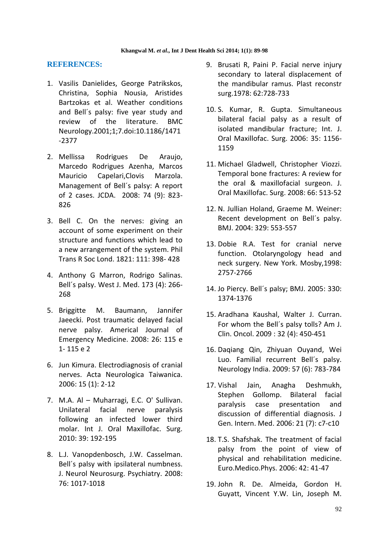#### **REFERENCES:**

- 1. Vasilis Danielides, George Patrikskos, Christina, Sophia Nousia, Aristides Bartzokas et al. Weather conditions and Bell´s palsy: five year study and review of the literature. BMC Neurology.2001;1;7.doi:10.1186/1471 -2377
- 2. Mellissa Rodrigues De Araujo, Marcedo Rodrigues Azenha, Marcos Mauricio Capelari,Clovis Marzola. Management of Bell´s palsy: A report of 2 cases. JCDA. 2008: 74 (9): 823- 826
- 3. Bell C. On the nerves: giving an account of some experiment on their structure and functions which lead to a new arrangement of the system. Phil Trans R Soc Lond. 1821: 111: 398- 428
- 4. Anthony G Marron, Rodrigo Salinas. Bell´s palsy. West J. Med. 173 (4): 266- 268
- 5. Briggitte M. Baumann, Jannifer Jaeecki. Post traumatic delayed facial nerve palsy. Americal Journal of Emergency Medicine. 2008: 26: 115 e 1- 115 e 2
- 6. Jun Kimura. Electrodiagnosis of cranial nerves. Acta Neurologica Taiwanica. 2006: 15 (1): 2-12
- 7. M.A. Al Muharragi, E.C. O' Sullivan. Unilateral facial nerve paralysis following an infected lower third molar. Int J. Oral Maxillofac. Surg. 2010: 39: 192-195
- 8. L.J. Vanopdenbosch, J.W. Casselman. Bell´s palsy with ipsilateral numbness. J. Neurol Neurosurg. Psychiatry. 2008: 76: 1017-1018
- 9. Brusati R, Paini P. Facial nerve injury secondary to lateral displacement of the mandibular ramus. Plast reconstr surg.1978: 62:728-733
- 10. S. Kumar, R. Gupta. Simultaneous bilateral facial palsy as a result of isolated mandibular fracture; Int. J. Oral Maxillofac. Surg. 2006: 35: 1156- 1159
- 11. Michael Gladwell, Christopher Viozzi. Temporal bone fractures: A review for the oral & maxillofacial surgeon. J. Oral Maxillofac. Surg. 2008: 66: 513-52
- 12. N. Jullian Holand, Graeme M. Weiner: Recent development on Bell´s palsy. BMJ. 2004: 329: 553-557
- 13. Dobie R.A. Test for cranial nerve function. Otolaryngology head and neck surgery. New York. Mosby,1998: 2757-2766
- 14. Jo Piercy. Bell´s palsy; BMJ. 2005: 330: 1374-1376
- 15. Aradhana Kaushal, Walter J. Curran. For whom the Bell´s palsy tolls? Am J. Clin. Oncol. 2009 : 32 (4): 450-451
- 16. Daqiang Qin, Zhiyuan Ouyand, Wei Luo. Familial recurrent Bell´s palsy. Neurology India. 2009: 57 (6): 783-784
- 17. Vishal Jain, Anagha Deshmukh, Stephen Gollomp. Bilateral facial paralysis case presentation and discussion of differential diagnosis. J Gen. Intern. Med. 2006: 21 (7): c7-c10
- 18. T.S. Shafshak. The treatment of facial palsy from the point of view of physical and rehabilitation medicine. Euro.Medico.Phys. 2006: 42: 41-47
- 19. John R. De. Almeida, Gordon H. Guyatt, Vincent Y.W. Lin, Joseph M.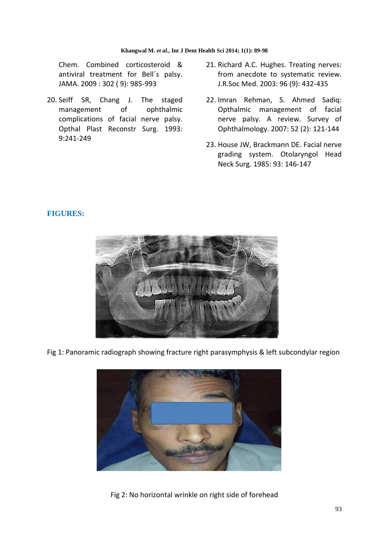#### **Khangwal M.** *et al***., Int J Dent Health Sci 2014; 1(1): 89-98**

Chem. Combined corticosteroid & antiviral treatment for Bell´s palsy. JAMA. 2009 : 302 ( 9): 985-993

- 20. Seiff SR, Chang J. The staged management of ophthalmic complications of facial nerve palsy. Opthal Plast Reconstr Surg. 1993: 9:241-249
- 21. Richard A.C. Hughes. Treating nerves: from anecdote to systematic review. J.R.Soc Med. 2003: 96 (9): 432-435
- 22. Imran Rehman, S. Ahmed Sadiq: Opthalmic management of facial nerve palsy. A review. Survey of Ophthalmology. 2007: 52 (2): 121-144
- 23. House JW, Brackmann DE. Facial nerve grading system. Otolaryngol Head Neck Surg. 1985: 93: 146-147

#### **FIGURES:**



Fig 1: Panoramic radiograph showing fracture right parasymphysis & left subcondylar region



Fig 2: No horizontal wrinkle on right side of forehead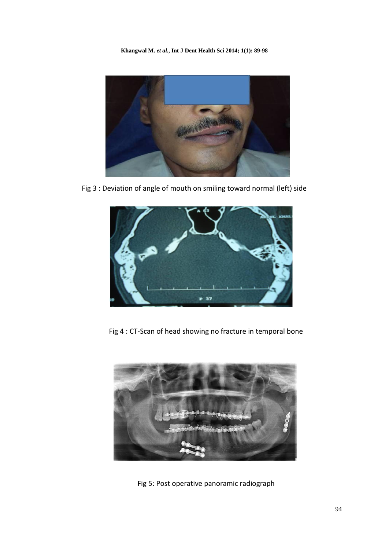**Khangwal M.** *et al***., Int J Dent Health Sci 2014; 1(1): 89-98**



Fig 3 : Deviation of angle of mouth on smiling toward normal (left) side



Fig 4 : CT-Scan of head showing no fracture in temporal bone



Fig 5: Post operative panoramic radiograph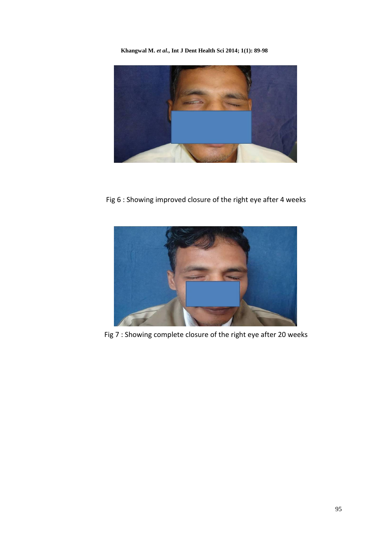**Khangwal M.** *et al***., Int J Dent Health Sci 2014; 1(1): 89-98**



Fig 6 : Showing improved closure of the right eye after 4 weeks



Fig 7 : Showing complete closure of the right eye after 20 weeks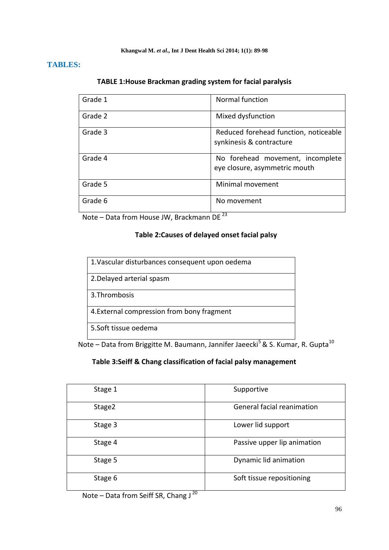#### **Khangwal M.** *et al***., Int J Dent Health Sci 2014; 1(1): 89-98**

# **TABLES:**

| TABLE 1: House Brackman grading system for facial paralysis |  |  |  |
|-------------------------------------------------------------|--|--|--|
|-------------------------------------------------------------|--|--|--|

| Grade 1 | Normal function                                                   |
|---------|-------------------------------------------------------------------|
| Grade 2 | Mixed dysfunction                                                 |
| Grade 3 | Reduced forehead function, noticeable<br>synkinesis & contracture |
| Grade 4 | No forehead movement, incomplete<br>eye closure, asymmetric mouth |
| Grade 5 | Minimal movement                                                  |
| Grade 6 | No movement                                                       |

Note – Data from House JW, Brackmann DE<sup>23</sup>

# **Table 2:Causes of delayed onset facial palsy**

| 1. Vascular disturbances consequent upon oedema |
|-------------------------------------------------|
| 2. Delayed arterial spasm                       |
| 3. Thrombosis                                   |
| 4. External compression from bony fragment      |
| 5.Soft tissue oedema                            |

Note – Data from Briggitte M. Baumann, Jannifer Jaeecki<sup>5</sup> & S. Kumar, R. Gupta<sup>10</sup>

## **Table 3:Seiff & Chang classification of facial palsy management**

| Stage 1 | Supportive                  |
|---------|-----------------------------|
| Stage2  | General facial reanimation  |
| Stage 3 | Lower lid support           |
| Stage 4 | Passive upper lip animation |
| Stage 5 | Dynamic lid animation       |
| Stage 6 | Soft tissue repositioning   |

Note – Data from Seiff SR, Chang J $^{20}$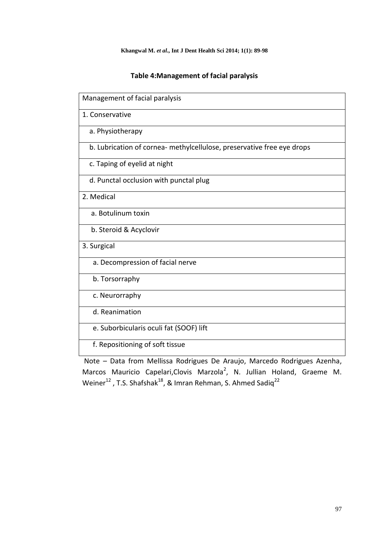# **Table 4:Management of facial paralysis**

| Management of facial paralysis                                         |
|------------------------------------------------------------------------|
| 1. Conservative                                                        |
| a. Physiotherapy                                                       |
| b. Lubrication of cornea- methylcellulose, preservative free eye drops |
| c. Taping of eyelid at night                                           |
| d. Punctal occlusion with punctal plug                                 |
| 2. Medical                                                             |
| a. Botulinum toxin                                                     |
| b. Steroid & Acyclovir                                                 |
| 3. Surgical                                                            |
| a. Decompression of facial nerve                                       |
| b. Torsorraphy                                                         |
| c. Neurorraphy                                                         |
| d. Reanimation                                                         |
| e. Suborbicularis oculi fat (SOOF) lift                                |
| f. Repositioning of soft tissue                                        |

 Note – Data from Mellissa Rodrigues De Araujo, Marcedo Rodrigues Azenha, Marcos Mauricio Capelari, Clovis Marzola<sup>2</sup>, N. Jullian Holand, Graeme M. Weiner<sup>12</sup>, T.S. Shafshak<sup>18</sup>, & Imran Rehman, S. Ahmed Sadiq<sup>22</sup>